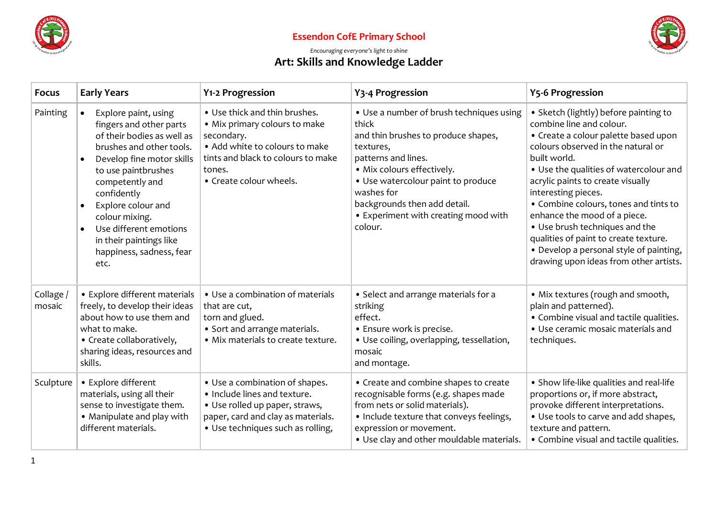

### **Essendon CofE Primary School**



### *Encouraging everyone's light to shine*

# **Art: Skills and Knowledge Ladder**

| <b>Focus</b>        | <b>Early Years</b>                                                                                                                                                                                                                                                                                                                                                      | Y1-2 Progression                                                                                                                                                                          | Y3-4 Progression                                                                                                                                                                                                                                                                                  | <b>Y5-6 Progression</b>                                                                                                                                                                                                                                                                                                                                                                                                                                                                                        |
|---------------------|-------------------------------------------------------------------------------------------------------------------------------------------------------------------------------------------------------------------------------------------------------------------------------------------------------------------------------------------------------------------------|-------------------------------------------------------------------------------------------------------------------------------------------------------------------------------------------|---------------------------------------------------------------------------------------------------------------------------------------------------------------------------------------------------------------------------------------------------------------------------------------------------|----------------------------------------------------------------------------------------------------------------------------------------------------------------------------------------------------------------------------------------------------------------------------------------------------------------------------------------------------------------------------------------------------------------------------------------------------------------------------------------------------------------|
| Painting            | Explore paint, using<br>$\bullet$<br>fingers and other parts<br>of their bodies as well as<br>brushes and other tools.<br>Develop fine motor skills<br>$\bullet$<br>to use paintbrushes<br>competently and<br>confidently<br>Explore colour and<br>colour mixing.<br>Use different emotions<br>$\bullet$<br>in their paintings like<br>happiness, sadness, fear<br>etc. | • Use thick and thin brushes.<br>• Mix primary colours to make<br>secondary.<br>• Add white to colours to make<br>tints and black to colours to make<br>tones.<br>• Create colour wheels. | • Use a number of brush techniques using<br>thick<br>and thin brushes to produce shapes,<br>textures,<br>patterns and lines.<br>· Mix colours effectively.<br>• Use watercolour paint to produce<br>washes for<br>backgrounds then add detail.<br>• Experiment with creating mood with<br>colour. | • Sketch (lightly) before painting to<br>combine line and colour.<br>• Create a colour palette based upon<br>colours observed in the natural or<br>built world.<br>• Use the qualities of watercolour and<br>acrylic paints to create visually<br>interesting pieces.<br>• Combine colours, tones and tints to<br>enhance the mood of a piece.<br>• Use brush techniques and the<br>qualities of paint to create texture.<br>• Develop a personal style of painting,<br>drawing upon ideas from other artists. |
| Collage /<br>mosaic | • Explore different materials<br>freely, to develop their ideas<br>about how to use them and<br>what to make.<br>• Create collaboratively,<br>sharing ideas, resources and<br>skills.                                                                                                                                                                                   | • Use a combination of materials<br>that are cut,<br>torn and glued.<br>• Sort and arrange materials.<br>· Mix materials to create texture.                                               | • Select and arrange materials for a<br>striking<br>effect.<br>• Ensure work is precise.<br>• Use coiling, overlapping, tessellation,<br>mosaic<br>and montage.                                                                                                                                   | • Mix textures (rough and smooth,<br>plain and patterned).<br>• Combine visual and tactile qualities.<br>• Use ceramic mosaic materials and<br>techniques.                                                                                                                                                                                                                                                                                                                                                     |
| Sculpture           | • Explore different<br>materials, using all their<br>sense to investigate them.<br>• Manipulate and play with<br>different materials.                                                                                                                                                                                                                                   | • Use a combination of shapes.<br>. Include lines and texture.<br>· Use rolled up paper, straws,<br>paper, card and clay as materials.<br>• Use techniques such as rolling,               | • Create and combine shapes to create<br>recognisable forms (e.g. shapes made<br>from nets or solid materials).<br>• Include texture that conveys feelings,<br>expression or movement.<br>. Use clay and other mouldable materials.                                                               | • Show life-like qualities and real-life<br>proportions or, if more abstract,<br>provoke different interpretations.<br>• Use tools to carve and add shapes,<br>texture and pattern.<br>• Combine visual and tactile qualities.                                                                                                                                                                                                                                                                                 |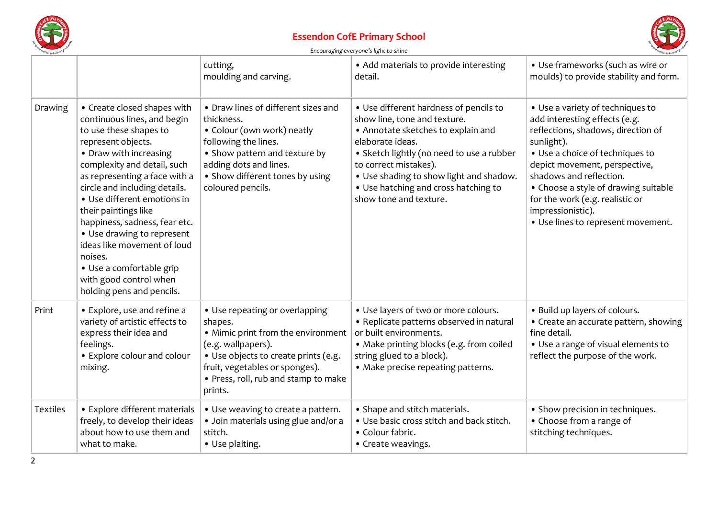

#### **Essendon CofE Primary School**



|                 |                                                                                                                                                                                                                                                                                                                                                                                                                                                                                          | cutting,<br>moulding and carving.                                                                                                                                                                                                  | • Add materials to provide interesting<br>detail.                                                                                                                                                                                                                                                                   | • Use frameworks (such as wire or<br>moulds) to provide stability and form.                                                                                                                                                                                                                                                                                |
|-----------------|------------------------------------------------------------------------------------------------------------------------------------------------------------------------------------------------------------------------------------------------------------------------------------------------------------------------------------------------------------------------------------------------------------------------------------------------------------------------------------------|------------------------------------------------------------------------------------------------------------------------------------------------------------------------------------------------------------------------------------|---------------------------------------------------------------------------------------------------------------------------------------------------------------------------------------------------------------------------------------------------------------------------------------------------------------------|------------------------------------------------------------------------------------------------------------------------------------------------------------------------------------------------------------------------------------------------------------------------------------------------------------------------------------------------------------|
| Drawing         | • Create closed shapes with<br>continuous lines, and begin<br>to use these shapes to<br>represent objects.<br>• Draw with increasing<br>complexity and detail, such<br>as representing a face with a<br>circle and including details.<br>• Use different emotions in<br>their paintings like<br>happiness, sadness, fear etc.<br>• Use drawing to represent<br>ideas like movement of loud<br>noises.<br>• Use a comfortable grip<br>with good control when<br>holding pens and pencils. | • Draw lines of different sizes and<br>thickness.<br>• Colour (own work) neatly<br>following the lines.<br>• Show pattern and texture by<br>adding dots and lines.<br>• Show different tones by using<br>coloured pencils.         | • Use different hardness of pencils to<br>show line, tone and texture.<br>• Annotate sketches to explain and<br>elaborate ideas.<br>• Sketch lightly (no need to use a rubber<br>to correct mistakes).<br>. Use shading to show light and shadow.<br>• Use hatching and cross hatching to<br>show tone and texture. | • Use a variety of techniques to<br>add interesting effects (e.g.<br>reflections, shadows, direction of<br>sunlight).<br>• Use a choice of techniques to<br>depict movement, perspective,<br>shadows and reflection.<br>• Choose a style of drawing suitable<br>for the work (e.g. realistic or<br>impressionistic).<br>· Use lines to represent movement. |
| Print           | • Explore, use and refine a<br>variety of artistic effects to<br>express their idea and<br>feelings.<br>• Explore colour and colour<br>mixing.                                                                                                                                                                                                                                                                                                                                           | • Use repeating or overlapping<br>shapes.<br>• Mimic print from the environment<br>(e.g. wallpapers).<br>· Use objects to create prints (e.g.<br>fruit, vegetables or sponges).<br>• Press, roll, rub and stamp to make<br>prints. | • Use layers of two or more colours.<br>• Replicate patterns observed in natural<br>or built environments.<br>• Make printing blocks (e.g. from coiled<br>string glued to a block).<br>• Make precise repeating patterns.                                                                                           | • Build up layers of colours.<br>• Create an accurate pattern, showing<br>fine detail.<br>• Use a range of visual elements to<br>reflect the purpose of the work.                                                                                                                                                                                          |
| <b>Textiles</b> | • Explore different materials<br>freely, to develop their ideas<br>about how to use them and<br>what to make.                                                                                                                                                                                                                                                                                                                                                                            | • Use weaving to create a pattern.<br>· Join materials using glue and/or a<br>stitch.<br>• Use plaiting.                                                                                                                           | • Shape and stitch materials.<br>. Use basic cross stitch and back stitch.<br>• Colour fabric.<br>• Create weavings.                                                                                                                                                                                                | • Show precision in techniques.<br>• Choose from a range of<br>stitching techniques.                                                                                                                                                                                                                                                                       |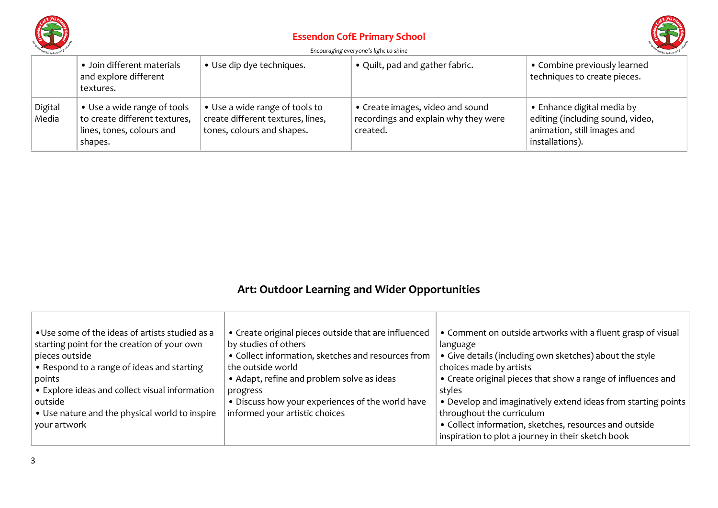

### **Essendon CofE Primary School**



#### *Encouraging everyone's light to shine*

|                  | • Join different materials<br>and explore different<br>textures.                                     | • Use dip dye techniques.                                                                         | • Quilt, pad and gather fabric.                                                      | • Combine previously learned<br>techniques to create pieces.                                                     |
|------------------|------------------------------------------------------------------------------------------------------|---------------------------------------------------------------------------------------------------|--------------------------------------------------------------------------------------|------------------------------------------------------------------------------------------------------------------|
| Digital<br>Media | • Use a wide range of tools<br>to create different textures,<br>lines, tones, colours and<br>shapes. | • Use a wide range of tools to<br>create different textures, lines,<br>tones, colours and shapes. | • Create images, video and sound<br>recordings and explain why they were<br>created. | • Enhance digital media by<br>editing (including sound, video,<br>animation, still images and<br>installations). |

# **Art: Outdoor Learning and Wider Opportunities**

| • Use some of the ideas of artists studied as a<br>starting point for the creation of your own<br>pieces outside<br>• Respond to a range of ideas and starting<br>points<br>• Explore ideas and collect visual information<br>outside<br>• Use nature and the physical world to inspire | • Create original pieces outside that are influenced<br>by studies of others<br>• Collect information, sketches and resources from<br>the outside world<br>• Adapt, refine and problem solve as ideas<br>progress<br>• Discuss how your experiences of the world have<br>informed your artistic choices | • Comment on outside artworks with a fluent grasp of visual<br>language<br>• Give details (including own sketches) about the style<br>choices made by artists<br>• Create original pieces that show a range of influences and<br>styles<br>• Develop and imaginatively extend ideas from starting points<br>throughout the curriculum |
|-----------------------------------------------------------------------------------------------------------------------------------------------------------------------------------------------------------------------------------------------------------------------------------------|---------------------------------------------------------------------------------------------------------------------------------------------------------------------------------------------------------------------------------------------------------------------------------------------------------|---------------------------------------------------------------------------------------------------------------------------------------------------------------------------------------------------------------------------------------------------------------------------------------------------------------------------------------|
| your artwork                                                                                                                                                                                                                                                                            |                                                                                                                                                                                                                                                                                                         | • Collect information, sketches, resources and outside                                                                                                                                                                                                                                                                                |
|                                                                                                                                                                                                                                                                                         |                                                                                                                                                                                                                                                                                                         | inspiration to plot a journey in their sketch book                                                                                                                                                                                                                                                                                    |